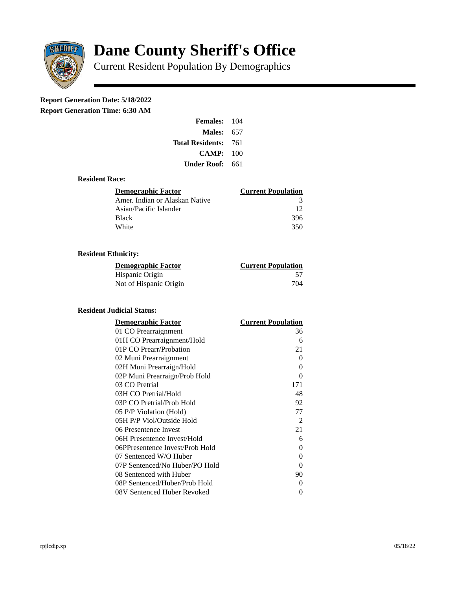

# **Dane County Sheriff's Office**

Current Resident Population By Demographics

# **Report Generation Date: 5/18/2022**

**Report Generation Time: 6:30 AM** 

| Females:         | 104   |
|------------------|-------|
| Males:           | 657   |
| Total Residents: | - 761 |
| CAMP:            | 100   |
| Under Roof: \    | 661   |

# **Resident Race:**

| Demographic Factor             | <b>Current Population</b> |
|--------------------------------|---------------------------|
| Amer. Indian or Alaskan Native | 3                         |
| Asian/Pacific Islander         | 12                        |
| Black                          | 396                       |
| White                          | 350                       |

# **Resident Ethnicity:**

| <u> Demographic Factor</u> | <b>Current Population</b> |
|----------------------------|---------------------------|
| Hispanic Origin            | 57                        |
| Not of Hispanic Origin     | 704                       |

#### **Resident Judicial Status:**

| <b>Demographic Factor</b>       | <b>Current Population</b> |
|---------------------------------|---------------------------|
| 01 CO Prearraignment            | 36                        |
| 01H CO Prearraignment/Hold      | 6                         |
| 01P CO Prearr/Probation         | 21                        |
| 02 Muni Prearraignment          | 0                         |
| 02H Muni Prearraign/Hold        | 0                         |
| 02P Muni Prearraign/Prob Hold   | 0                         |
| 03 CO Pretrial                  | 171                       |
| 03H CO Pretrial/Hold            | 48                        |
| 03P CO Pretrial/Prob Hold       | 92                        |
| 05 P/P Violation (Hold)         | 77                        |
| 05H P/P Viol/Outside Hold       | 2                         |
| 06 Presentence Invest           | 21                        |
| 06H Presentence Invest/Hold     | 6                         |
| 06PPresentence Invest/Prob Hold | 0                         |
| 07 Sentenced W/O Huber          | 0                         |
| 07P Sentenced/No Huber/PO Hold  | 0                         |
| 08 Sentenced with Huber         | 90                        |
| 08P Sentenced/Huber/Prob Hold   | 0                         |
| 08V Sentenced Huber Revoked     | 0                         |